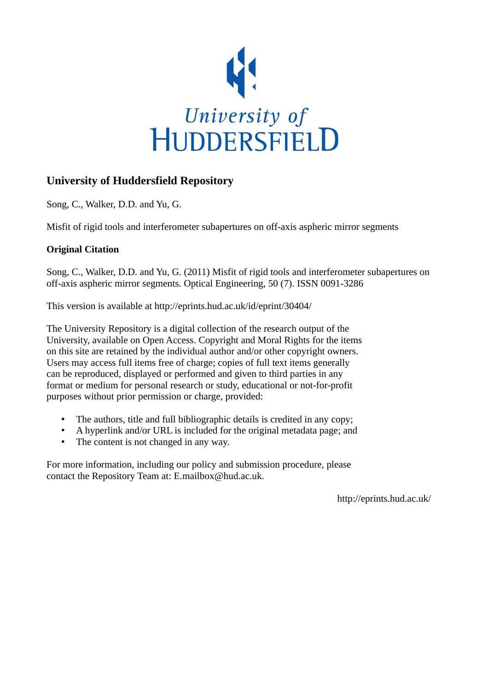

## **University of Huddersfield Repository**

Song, C., Walker, D.D. and Yu, G.

Misfit of rigid tools and interferometer subapertures on off-axis aspheric mirror segments

### **Original Citation**

Song, C., Walker, D.D. and Yu, G. (2011) Misfit of rigid tools and interferometer subapertures on off-axis aspheric mirror segments. Optical Engineering, 50 (7). ISSN 0091-3286

This version is available at http://eprints.hud.ac.uk/id/eprint/30404/

The University Repository is a digital collection of the research output of the University, available on Open Access. Copyright and Moral Rights for the items on this site are retained by the individual author and/or other copyright owners. Users may access full items free of charge; copies of full text items generally can be reproduced, displayed or performed and given to third parties in any format or medium for personal research or study, educational or not-for-profit purposes without prior permission or charge, provided:

- The authors, title and full bibliographic details is credited in any copy;
- A hyperlink and/or URL is included for the original metadata page; and
- The content is not changed in any way.

For more information, including our policy and submission procedure, please contact the Repository Team at: E.mailbox@hud.ac.uk.

http://eprints.hud.ac.uk/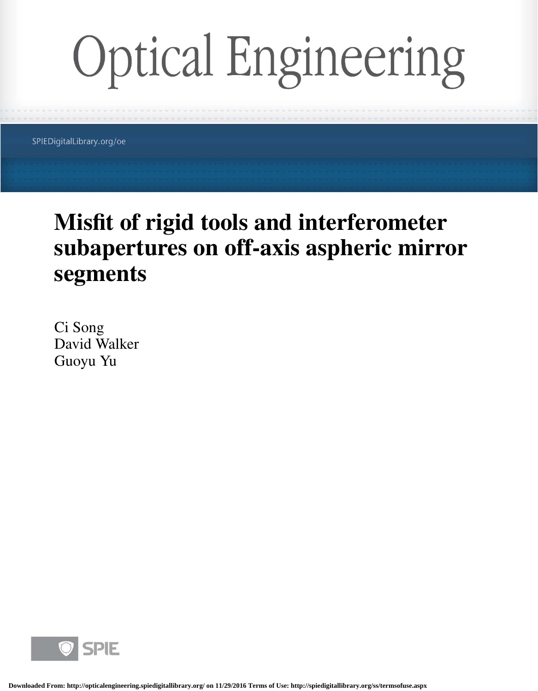# **Optical Engineering**

SPIEDigitalLibrary.org/oe

# **Misfit of rigid tools and interferometer subapertures on off-axis aspheric mirror segments**

Ci Song David Walker Guoyu Yu

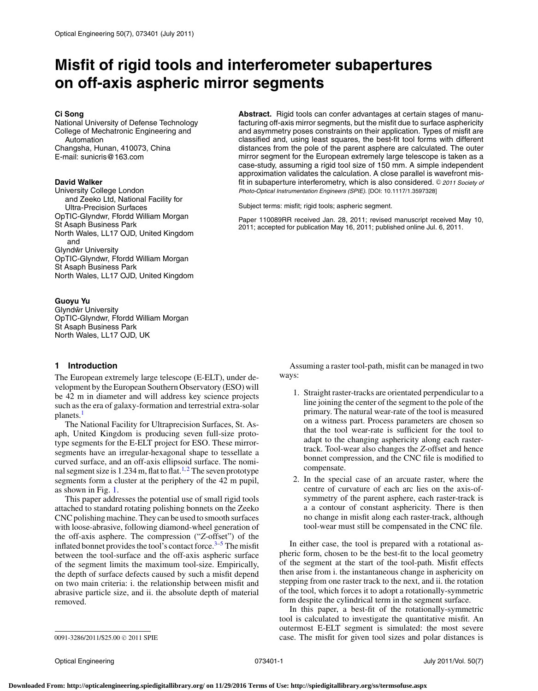# **Misfit of rigid tools and interferometer subapertures on off-axis aspheric mirror segments**

#### **Ci Song**

National University of Defense Technology College of Mechatronic Engineering and Automation Changsha, Hunan, 410073, China E-mail: [sunicris@163.com](mailto:sunicris@163.com)

#### **David Walker**

University College London and Zeeko Ltd, National Facility for Ultra-Precision Surfaces OpTIC-Glyndwr, Ffordd William Morgan St Asaph Business Park North Wales, LL17 OJD, United Kingdom and Glyndŵr University OpTIC-Glyndwr, Ffordd William Morgan St Asaph Business Park North Wales, LL17 OJD, United Kingdom

#### **Guoyu Yu**

Glyndŵr University OpTIC-Glyndwr, Ffordd William Morgan St Asaph Business Park North Wales, LL17 OJD, UK

#### **1 Introduction**

The European extremely large telescope (E-ELT), under development by the European Southern Observatory (ESO) will be 42 m in diameter and will address key science projects such as the era of galaxy-formation and terrestrial extra-solar planets.<sup>[1](#page-7-0)</sup>

The National Facility for Ultraprecision Surfaces, St. Asaph, United Kingdom is producing seven full-size prototype segments for the E-ELT project for ESO. These mirrorsegments have an irregular-hexagonal shape to tessellate a curved surface, and an off-axis ellipsoid surface. The nominal segment size is  $1.234$  $1.234$  $1.234$  m, flat to flat.<sup>[1,](#page-7-0)2</sup> The seven prototype segments form a cluster at the periphery of the 42 m pupil, as shown in Fig. [1.](#page-3-0)

This paper addresses the potential use of small rigid tools attached to standard rotating polishing bonnets on the Zeeko CNC polishing machine. They can be used to smooth surfaces with loose-abrasive, following diamond-wheel generation of the off-axis asphere. The compression ("*Z*-offset") of the inflated bonnet provides the tool's contact force. $3-5$  The misfit between the tool-surface and the off-axis aspheric surface of the segment limits the maximum tool-size. Empirically, the depth of surface defects caused by such a misfit depend on two main criteria: i. the relationship between misfit and abrasive particle size, and ii. the absolute depth of material removed.

**Abstract.** Rigid tools can confer advantages at certain stages of manufacturing off-axis mirror segments, but the misfit due to surface asphericity and asymmetry poses constraints on their application. Types of misfit are classified and, using least squares, the best-fit tool forms with different distances from the pole of the parent asphere are calculated. The outer mirror segment for the European extremely large telescope is taken as a case-study, assuming a rigid tool size of 150 mm. A simple independent approximation validates the calculation. A close parallel is wavefront misfit in subaperture interferometry, which is also considered. © 2011 Society of Photo-Optical Instrumentation Engineers (SPIE). [DOI: 10.1117/1.3597328]

Subject terms: misfit; rigid tools; aspheric segment.

Paper 110089RR received Jan. 28, 2011; revised manuscript received May 10, 2011; accepted for publication May 16, 2011; published online Jul. 6, 2011.

> Assuming a raster tool-path, misfit can be managed in two ways:

- 1. Straight raster-tracks are orientated perpendicular to a line joining the center of the segment to the pole of the primary. The natural wear-rate of the tool is measured on a witness part. Process parameters are chosen so that the tool wear-rate is sufficient for the tool to adapt to the changing asphericity along each rastertrack. Tool-wear also changes the *Z*-offset and hence bonnet compression, and the CNC file is modified to compensate.
- 2. In the special case of an arcuate raster, where the centre of curvature of each arc lies on the axis-ofsymmetry of the parent asphere, each raster-track is a a contour of constant asphericity. There is then no change in misfit along each raster-track, although tool-wear must still be compensated in the CNC file.

In either case, the tool is prepared with a rotational aspheric form, chosen to be the best-fit to the local geometry of the segment at the start of the tool-path. Misfit effects then arise from i. the instantaneous change in asphericity on stepping from one raster track to the next, and ii. the rotation of the tool, which forces it to adopt a rotationally-symmetric form despite the cylindrical term in the segment surface.

In this paper, a best-fit of the rotationally-symmetric tool is calculated to investigate the quantitative misfit. An outermost E-ELT segment is simulated: the most severe case. The misfit for given tool sizes and polar distances is

<sup>0091-3286/2011/\$25.00 © 2011</sup> SPIE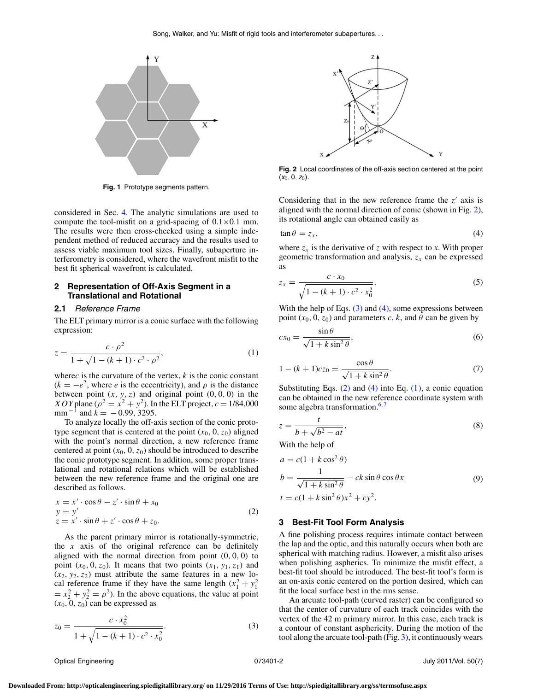<span id="page-3-0"></span>

**Fig. 1** Prototype segments pattern.

considered in Sec. [4.](#page-4-0) The analytic simulations are used to compute the tool-misfit on a grid-spacing of  $0.1 \times 0.1$  mm. The results were then cross-checked using a simple independent method of reduced accuracy and the results used to assess viable maximum tool sizes. Finally, subaperture interferometry is considered, where the wavefront misfit to the best fit spherical wavefront is calculated.

#### <span id="page-3-6"></span>**2 Representation of Off-Axis Segment in a Translational and Rotational**

#### **2.1** Reference Frame

The ELT primary mirror is a conic surface with the following expression:

<span id="page-3-5"></span>
$$
z = \frac{c \cdot \rho^2}{1 + \sqrt{1 - (k+1) \cdot c^2 \cdot \rho^2}},\tag{1}
$$

where*c* is the curvature of the vertex,  $k$  is the conic constant  $(k = -e^2$ , where *e* is the eccentricity), and  $\rho$  is the distance between point  $(x, y, z)$  and original point  $(0, 0, 0)$  in the *XOY* plane ( $\rho^2 = x^2 + y^2$ ). In the ELT project,  $c = 1/84,000$ mm<sup> $-1$ </sup> and  $k = -0.99, 3295$ .

To analyze locally the off-axis section of the conic prototype segment that is centered at the point  $(x_0, 0, z_0)$  aligned with the point's normal direction, a new reference frame centered at point  $(x_0, 0, z_0)$  should be introduced to describe the conic prototype segment. In addition, some proper translational and rotational relations which will be established between the new reference frame and the original one are described as follows.

<span id="page-3-4"></span>
$$
x = x' \cdot \cos \theta - z' \cdot \sin \theta + x_0
$$
  
\n
$$
y = y'
$$
  
\n
$$
z = x' \cdot \sin \theta + z' \cdot \cos \theta + z_0.
$$
\n(2)

As the parent primary mirror is rotationally-symmetric, the  $x$  axis of the original reference can be definitely aligned with the normal direction from point  $(0, 0, 0)$  to point  $(x_0, 0, z_0)$ . It means that two points  $(x_1, y_1, z_1)$  and  $(x_2, y_2, z_2)$  must attribute the same features in a new local reference frame if they have the same length  $(x_1^2 + y_1^2)$  $= x_2^2 + y_2^2 = \rho^2$ ). In the above equations, the value at point  $(x_0, 0, z_0)$  can be expressed as

<span id="page-3-2"></span>
$$
z_0 = \frac{c \cdot x_0^2}{1 + \sqrt{1 - (k+1) \cdot c^2 \cdot x_0^2}}.
$$
\n(3)

<span id="page-3-1"></span>

**Fig. 2** Local coordinates of the off-axis section centered at the point  $(x_0, 0, z_0)$ .

Considering that in the new reference frame the  $z'$  axis is aligned with the normal direction of conic (shown in Fig. [2\)](#page-3-1), its rotational angle can obtained easily as

<span id="page-3-3"></span>
$$
\tan \theta = z_x,\tag{4}
$$

where  $z_x$  is the derivative of *z* with respect to *x*. With proper geometric transformation and analysis,  $z_x$  can be expressed as

$$
z_x = \frac{c \cdot x_0}{\sqrt{1 - (k+1) \cdot c^2 \cdot x_0^2}}.
$$
 (5)

With the help of Eqs.  $(3)$  and  $(4)$ , some expressions between point  $(x_0, 0, z_0)$  and parameters *c*, *k*, and  $\theta$  can be given by

$$
cx_0 = \frac{\sin \theta}{\sqrt{1 + k \sin^2 \theta}},
$$
\n(6)

$$
1 - (k+1)cz_0 = \frac{\cos \theta}{\sqrt{1 + k \sin^2 \theta}}.
$$
\n(7)

Substituting Eqs.  $(2)$  and  $(4)$  into Eq.  $(1)$ , a conic equation can be obtained in the new reference coordinate system with some algebra transformation. $6, 7$  $6, 7$ 

$$
z = \frac{t}{b + \sqrt{b^2 - at}},\tag{8}
$$

With the help of

$$
a = c(1 + k \cos^{2} \theta)
$$
  
\n
$$
b = \frac{1}{\sqrt{1 + k \sin^{2} \theta}} - ck \sin \theta \cos \theta x
$$
  
\n
$$
t = c(1 + k \sin^{2} \theta)x^{2} + cy^{2}.
$$
  
\n(9)

#### **3 Best-Fit Tool Form Analysis**

A fine polishing process requires intimate contact between the lap and the optic, and this naturally occurs when both are spherical with matching radius. However, a misfit also arises when polishing aspherics. To minimize the misfit effect, a best-fit tool should be introduced. The best-fit tool's form is an on-axis conic centered on the portion desired, which can fit the local surface best in the rms sense.

An arcuate tool-path (curved raster) can be configured so that the center of curvature of each track coincides with the vertex of the 42 m primary mirror. In this case, each track is a contour of constant asphericity. During the motion of the tool along the arcuate tool-path (Fig. [3\)](#page-4-1), it continuously wears

Optical Engineering 073401-2 July 2011/Vol. 50(7)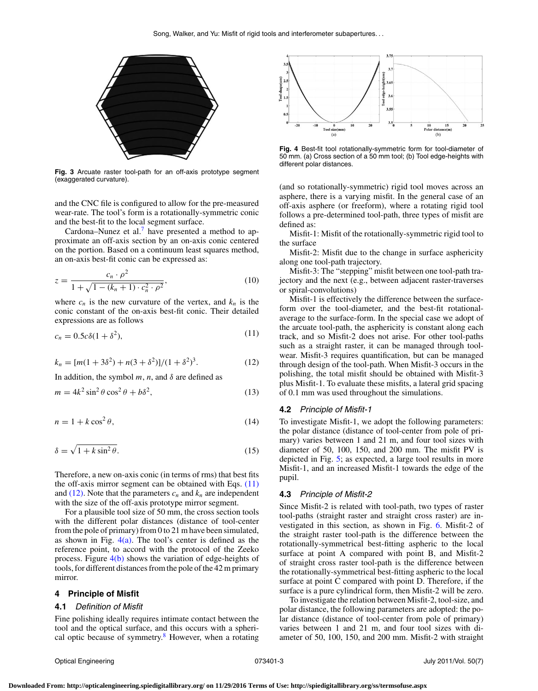<span id="page-4-1"></span>

**Fig. 3** Arcuate raster tool-path for an off-axis prototype segment (exaggerated curvature).

and the CNC file is configured to allow for the pre-measured wear-rate. The tool's form is a rotationally-symmetric conic and the best-fit to the local segment surface.

Cardona–Nunez et al.<sup>7</sup> have presented a method to approximate an off-axis section by an on-axis conic centered on the portion. Based on a continuum least squares method, an on-axis best-fit conic can be expressed as:

$$
z = \frac{c_n \cdot \rho^2}{1 + \sqrt{1 - (k_n + 1) \cdot c_n^2 \cdot \rho^2}},\tag{10}
$$

where  $c_n$  is the new curvature of the vertex, and  $k_n$  is the conic constant of the on-axis best-fit conic. Their detailed expressions are as follows

<span id="page-4-2"></span>
$$
c_n = 0.5c\delta(1 + \delta^2),\tag{11}
$$

<span id="page-4-3"></span>
$$
k_n = [m(1+3\delta^2) + n(3+\delta^2)]/(1+\delta^2)^3.
$$
 (12)

In addition, the symbol  $m$ ,  $n$ , and  $\delta$  are defined as

$$
m = 4k^2 \sin^2 \theta \cos^2 \theta + b\delta^2, \tag{13}
$$

$$
n = 1 + k \cos^2 \theta,\tag{14}
$$

$$
\delta = \sqrt{1 + k \sin^2 \theta}.
$$
\n(15)

Therefore, a new on-axis conic (in terms of rms) that best fits the off-axis mirror segment can be obtained with Eqs. [\(11\)](#page-4-2) and  $(12)$ . Note that the parameters  $c_n$  and  $k_n$  are independent with the size of the off-axis prototype mirror segment.

For a plausible tool size of 50 mm, the cross section tools with the different polar distances (distance of tool-center from the pole of primary) from 0 to 21 m have been simulated, as shown in Fig.  $4(a)$ . The tool's center is defined as the reference point, to accord with the protocol of the Zeeko process. Figure  $4(b)$  shows the variation of edge-heights of tools, for different distances from the pole of the 42 m primary mirror.

#### <span id="page-4-0"></span>**4 Principle of Misfit**

#### **4.1** Definition of Misfit

Fine polishing ideally requires intimate contact between the tool and the optical surface, and this occurs with a spherical optic because of symmetry. $\frac{8}{3}$  $\frac{8}{3}$  $\frac{8}{3}$  However, when a rotating

<span id="page-4-4"></span>

**Fig. 4** Best-fit tool rotationally-symmetric form for tool-diameter of 50 mm. (a) Cross section of a 50 mm tool; (b) Tool edge-heights with different polar distances.

(and so rotationally-symmetric) rigid tool moves across an asphere, there is a varying misfit. In the general case of an off-axis asphere (or freeform), where a rotating rigid tool follows a pre-determined tool-path, three types of misfit are defined as:

Misfit-1: Misfit of the rotationally-symmetric rigid tool to the surface

Misfit-2: Misfit due to the change in surface asphericity along one tool-path trajectory.

Misfit-3: The "stepping" misfit between one tool-path trajectory and the next (e.g., between adjacent raster-traverses or spiral-convolutions)

Misfit-1 is effectively the difference between the surfaceform over the tool-diameter, and the best-fit rotationalaverage to the surface-form. In the special case we adopt of the arcuate tool-path, the asphericity is constant along each track, and so Misfit-2 does not arise. For other tool-paths such as a straight raster, it can be managed through toolwear. Misfit-3 requires quantification, but can be managed through design of the tool-path. When Misfit-3 occurs in the polishing, the total misfit should be obtained with Misfit-3 plus Misfit-1. To evaluate these misfits, a lateral grid spacing of 0.1 mm was used throughout the simulations.

#### **4.2** Principle of Misfit-1

To investigate Misfit-1, we adopt the following parameters: the polar distance (distance of tool-center from pole of primary) varies between 1 and 21 m, and four tool sizes with diameter of 50, 100, 150, and 200 mm. The misfit PV is depicted in Fig. [5;](#page-5-0) as expected, a large tool results in more Misfit-1, and an increased Misfit-1 towards the edge of the pupil.

#### **4.3** Principle of Misfit-2

Since Misfit-2 is related with tool-path, two types of raster tool-paths (straight raster and straight cross raster) are investigated in this section, as shown in Fig. [6.](#page-5-1) Misfit-2 of the straight raster tool-path is the difference between the rotationally-symmetrical best-fitting aspheric to the local surface at point A compared with point B, and Misfit-2 of straight cross raster tool-path is the difference between the rotationally-symmetrical best-fitting aspheric to the local surface at point C compared with point D. Therefore, if the surface is a pure cylindrical form, then Misfit-2 will be zero.

To investigate the relation between Misfit-2, tool-size, and polar distance, the following parameters are adopted: the polar distance (distance of tool-center from pole of primary) varies between 1 and 21 m, and four tool sizes with diameter of 50, 100, 150, and 200 mm. Misfit-2 with straight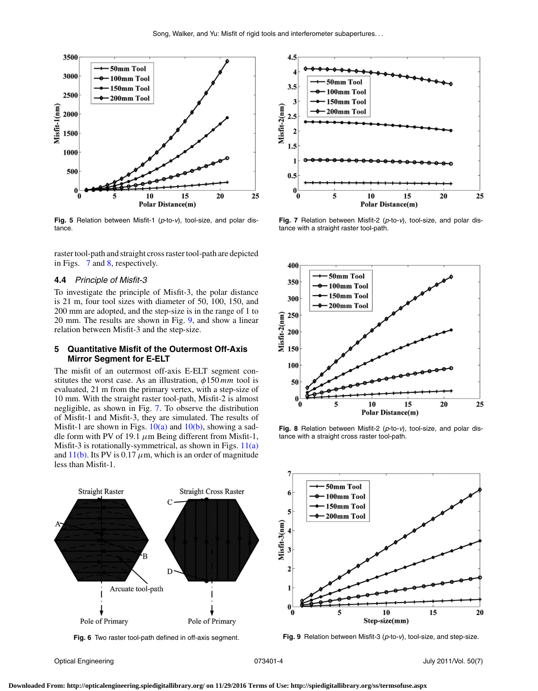<span id="page-5-0"></span>

**Fig. 5** Relation between Misfit-1 (p-to-v), tool-size, and polar distance.

raster tool-path and straight cross raster tool-path are depicted in Figs. [7](#page-5-2) and [8,](#page-5-3) respectively.

#### **4.4** Principle of Misfit-3

To investigate the principle of Misfit-3, the polar distance is 21 m, four tool sizes with diameter of 50, 100, 150, and 200 mm are adopted, and the step-size is in the range of 1 to 20 mm. The results are shown in Fig. [9,](#page-5-4) and show a linear relation between Misfit-3 and the step-size.

#### **5 Quantitative Misfit of the Outermost Off-Axis Mirror Segment for E-ELT**

The misfit of an outermost off-axis E-ELT segment constitutes the worst case. As an illustration, φ150 *mm* tool is evaluated, 21 m from the primary vertex, with a step-size of 10 mm. With the straight raster tool-path, Misfit-2 is almost negligible, as shown in Fig. [7.](#page-5-2) To observe the distribution of Misfit-1 and Misfit-3, they are simulated. The results of Misfit-1 are shown in Figs.  $10(a)$  and  $10(b)$ , showing a saddle form with PV of 19.1  $\mu$ m Being different from Misfit-1, Misfit-3 is rotationally-symmetrical, as shown in Figs. [11\(a\)](#page-6-1) and  $11(b)$ . Its PV is 0.17  $\mu$ m, which is an order of magnitude less than Misfit-1.

<span id="page-5-1"></span>

**Fig. 6** Two raster tool-path defined in off-axis segment.

<span id="page-5-2"></span>

Fig. 7 Relation between Misfit-2 (p-to-v), tool-size, and polar distance with a straight raster tool-path.

<span id="page-5-3"></span>

**Fig. 8** Relation between Misfit-2 (p-to-v), tool-size, and polar distance with a straight cross raster tool-path.

<span id="page-5-4"></span>

**Fig. 9** Relation between Misfit-3 (p-to-v), tool-size, and step-size.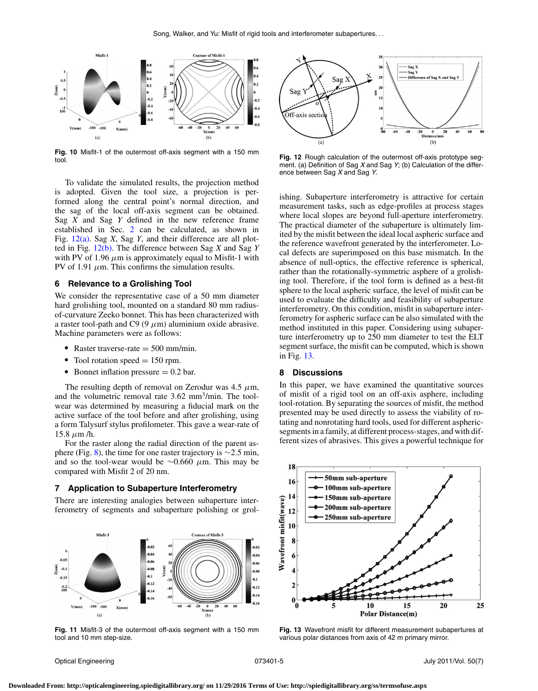<span id="page-6-0"></span>

**Fig. 10** Misfit-1 of the outermost off-axis segment with a 150 mm tool.

To validate the simulated results, the projection method is adopted. Given the tool size, a projection is performed along the central point's normal direction, and the sag of the local off-axis segment can be obtained. Sag *X* and Sag *Y* defined in the new reference frame established in Sec. [2](#page-3-6) can be calculated, as shown in Fig. [12\(a\).](#page-6-2) Sag *X*, Sag *Y*, and their difference are all plotted in Fig. [12\(b\).](#page-6-2) The difference between Sag *X* and Sag *Y* with PV of 1.96  $\mu$ m is approximately equal to Misfit-1 with PV of 1.91  $\mu$ m. This confirms the simulation results.

#### **6 Relevance to a Grolishing Tool**

We consider the representative case of a 50 mm diameter hard grolishing tool, mounted on a standard 80 mm radiusof-curvature Zeeko bonnet. This has been characterized with a raster tool-path and C9 (9  $\mu$ m) aluminium oxide abrasive. Machine parameters were as follows:

- Raster traverse-rate  $=$  500 mm/min.
- $\text{I}$  Tool rotation speed = 150 rpm.
- Bonnet inflation pressure  $= 0.2$  bar.

The resulting depth of removal on Zerodur was 4.5  $\mu$ m, and the volumetric removal rate 3.62 mm<sup>3</sup>/min. The toolwear was determined by measuring a fiducial mark on the active surface of the tool before and after grolishing, using a form Talysurf stylus profilometer. This gave a wear-rate of 15.8  $\mu$ m /h.

For the raster along the radial direction of the parent as-phere (Fig. [8\)](#page-5-3), the time for one raster trajectory is  $\sim$ 2.5 min, and so the tool-wear would be  $\sim$ 0.660 μm. This may be compared with Misfit 2 of 20 nm.

#### **7 Application to Subaperture Interferometry**

There are interesting analogies between subaperture interferometry of segments and subaperture polishing or grol-

<span id="page-6-1"></span>

**Fig. 11** Misfit-3 of the outermost off-axis segment with a 150 mm tool and 10 mm step-size.

<span id="page-6-2"></span>

**Fig. 12** Rough calculation of the outermost off-axis prototype segment. (a) Definition of Sag X and Sag Y; (b) Calculation of the difference between Sag X and Sag Y.

ishing. Subaperture interferometry is attractive for certain measurement tasks, such as edge-profiles at process stages where local slopes are beyond full-aperture interferometry. The practical diameter of the subaperture is ultimately limited by the misfit between the ideal local aspheric surface and the reference wavefront generated by the interferometer. Local defects are superimposed on this base mismatch. In the absence of null-optics, the effective reference is spherical, rather than the rotationally-symmetric asphere of a grolishing tool. Therefore, if the tool form is defined as a best-fit sphere to the local aspheric surface, the level of misfit can be used to evaluate the difficulty and feasibility of subaperture interferometry. On this condition, misfit in subaperture interferometry for aspheric surface can be also simulated with the method instituted in this paper. Considering using subaperture interferometry up to 250 mm diameter to test the ELT segment surface, the misfit can be computed, which is shown in Fig. [13.](#page-6-3)

#### **8 Discussions**

In this paper, we have examined the quantitative sources of misfit of a rigid tool on an off-axis asphere, including tool-rotation. By separating the sources of misfit, the method presented may be used directly to assess the viability of rotating and nonrotating hard tools, used for different asphericsegments in a family, at different process-stages, and with different sizes of abrasives. This gives a powerful technique for

<span id="page-6-3"></span>

**Fig. 13** Wavefront misfit for different measurement subapertures at various polar distances from axis of 42 m primary mirror.

Optical Engineering 073401-5 July 2011/Vol. 50(7)